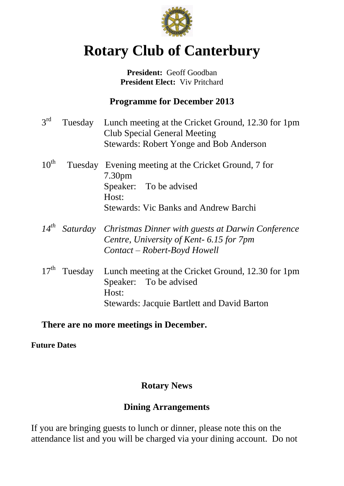

# **Rotary Club of Canterbury**

#### **President:** Geoff Goodban **President Elect:** Viv Pritchard

# **Programme for December 2013**

| $3^{\text{rd}}$  | Tuesday | Lunch meeting at the Cricket Ground, 12.30 for 1pm<br><b>Club Special General Meeting</b><br><b>Stewards: Robert Yonge and Bob Anderson</b>                   |
|------------------|---------|---------------------------------------------------------------------------------------------------------------------------------------------------------------|
| $10^{\text{th}}$ |         | Tuesday Evening meeting at the Cricket Ground, 7 for<br>7.30 <sub>pm</sub><br>Speaker: To be advised<br>Host:<br><b>Stewards: Vic Banks and Andrew Barchi</b> |
| $14^{th}$        |         | Saturday Christmas Dinner with guests at Darwin Conference<br>Centre, University of Kent- 6.15 for 7pm<br>Contact – Robert-Boyd Howell                        |
| $17^{\text{th}}$ | Tuesday | Lunch meeting at the Cricket Ground, 12.30 for 1pm<br>Speaker: To be advised<br>Host:<br><b>Stewards: Jacquie Bartlett and David Barton</b>                   |

## **There are no more meetings in December.**

**Future Dates**

# **Rotary News**

## **Dining Arrangements**

If you are bringing guests to lunch or dinner, please note this on the attendance list and you will be charged via your dining account. Do not